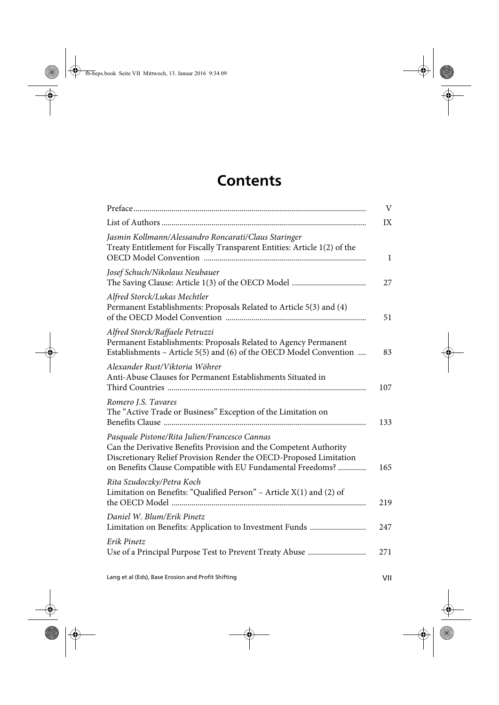## **Contents**

|                                                                                                                                                                                                                                                         | V            |
|---------------------------------------------------------------------------------------------------------------------------------------------------------------------------------------------------------------------------------------------------------|--------------|
|                                                                                                                                                                                                                                                         | IX           |
| Jasmin Kollmann/Alessandro Roncarati/Claus Staringer<br>Treaty Entitlement for Fiscally Transparent Entities: Article 1(2) of the                                                                                                                       | $\mathbf{1}$ |
| Josef Schuch/Nikolaus Neubauer                                                                                                                                                                                                                          | 27           |
| Alfred Storck/Lukas Mechtler<br>Permanent Establishments: Proposals Related to Article 5(3) and (4)                                                                                                                                                     | 51           |
| Alfred Storck/Raffaele Petruzzi<br>Permanent Establishments: Proposals Related to Agency Permanent<br>Establishments - Article 5(5) and (6) of the OECD Model Convention                                                                                | 83           |
| Alexander Rust/Viktoria Wöhrer<br>Anti-Abuse Clauses for Permanent Establishments Situated in                                                                                                                                                           | 107          |
| Romero J.S. Tavares<br>The "Active Trade or Business" Exception of the Limitation on                                                                                                                                                                    | 133          |
| Pasquale Pistone/Rita Julien/Francesco Cannas<br>Can the Derivative Benefits Provision and the Competent Authority<br>Discretionary Relief Provision Render the OECD-Proposed Limitation<br>on Benefits Clause Compatible with EU Fundamental Freedoms? | 165          |
| Rita Szudoczky/Petra Koch<br>Limitation on Benefits: "Qualified Person" - Article $X(1)$ and (2) of                                                                                                                                                     | 219          |
| Daniel W. Blum/Erik Pinetz                                                                                                                                                                                                                              | 247          |
| Erik Pinetz                                                                                                                                                                                                                                             | 271          |